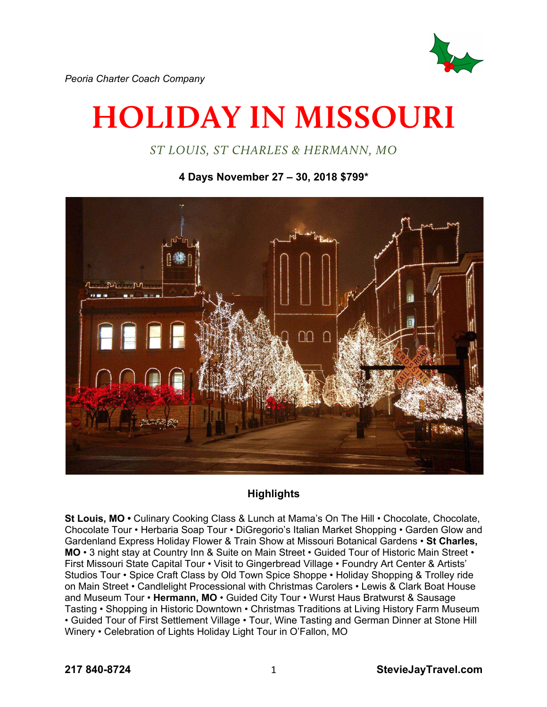

*Peoria Charter Coach Company*

# **HOLIDAY IN MISSOURI**

*ST LOUIS, ST CHARLES & HERMANN, MO*

**4 Days November 27 – 30, 2018 \$799\***



## **Highlights**

**St Louis, MO •** Culinary Cooking Class & Lunch at Mama's On The Hill • Chocolate, Chocolate, Chocolate Tour • Herbaria Soap Tour • DiGregorio's Italian Market Shopping • Garden Glow and Gardenland Express Holiday Flower & Train Show at Missouri Botanical Gardens • **St Charles, MO** • 3 night stay at Country Inn & Suite on Main Street • Guided Tour of Historic Main Street • First Missouri State Capital Tour • Visit to Gingerbread Village • Foundry Art Center & Artists' Studios Tour • Spice Craft Class by Old Town Spice Shoppe • Holiday Shopping & Trolley ride on Main Street • Candlelight Processional with Christmas Carolers • Lewis & Clark Boat House and Museum Tour • **Hermann, MO** • Guided City Tour • Wurst Haus Bratwurst & Sausage Tasting • Shopping in Historic Downtown • Christmas Traditions at Living History Farm Museum • Guided Tour of First Settlement Village • Tour, Wine Tasting and German Dinner at Stone Hill Winery • Celebration of Lights Holiday Light Tour in O'Fallon, MO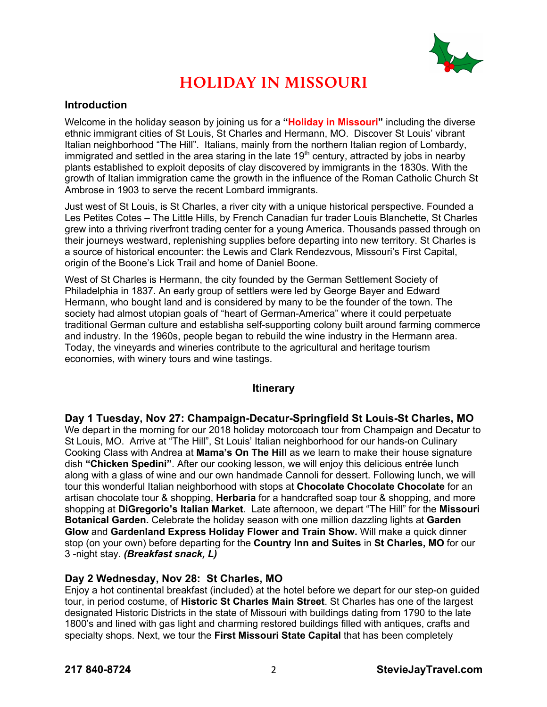

# **HOLIDAY IN MISSOURI**

#### **Introduction**

Welcome in the holiday season by joining us for a **"Holiday in Missouri"** including the diverse ethnic immigrant cities of St Louis, St Charles and Hermann, MO. Discover St Louis' vibrant Italian neighborhood "The Hill". Italians, mainly from the northern Italian region of Lombardy, immigrated and settled in the area staring in the late  $19<sup>th</sup>$  century, attracted by jobs in nearby plants established to exploit deposits of clay discovered by immigrants in the 1830s. With the growth of Italian immigration came the growth in the influence of the Roman Catholic Church St Ambrose in 1903 to serve the recent Lombard immigrants.

Just west of St Louis, is St Charles, a river city with a unique historical perspective. Founded a Les Petites Cotes – The Little Hills, by French Canadian fur trader Louis Blanchette, St Charles grew into a thriving riverfront trading center for a young America. Thousands passed through on their journeys westward, replenishing supplies before departing into new territory. St Charles is a source of historical encounter: the Lewis and Clark Rendezvous, Missouri's First Capital, origin of the Boone's Lick Trail and home of Daniel Boone.

West of St Charles is Hermann, the city founded by the German Settlement Society of Philadelphia in 1837. An early group of settlers were led by George Bayer and Edward Hermann, who bought land and is considered by many to be the founder of the town. The society had almost utopian goals of "heart of German-America" where it could perpetuate traditional German culture and establisha self-supporting colony built around farming commerce and industry. In the 1960s, people began to rebuild the wine industry in the Hermann area. Today, the vineyards and wineries contribute to the agricultural and heritage tourism economies, with winery tours and wine tastings.

#### **Itinerary**

**Day 1 Tuesday, Nov 27: Champaign-Decatur-Springfield St Louis-St Charles, MO**  We depart in the morning for our 2018 holiday motorcoach tour from Champaign and Decatur to St Louis, MO. Arrive at "The Hill", St Louis' Italian neighborhood for our hands-on Culinary Cooking Class with Andrea at **Mama's On The Hill** as we learn to make their house signature dish **"Chicken Spedini"**. After our cooking lesson, we will enjoy this delicious entrée lunch along with a glass of wine and our own handmade Cannoli for dessert. Following lunch, we will tour this wonderful Italian neighborhood with stops at **Chocolate Chocolate Chocolate** for an artisan chocolate tour & shopping, **Herbaria** for a handcrafted soap tour & shopping, and more shopping at **DiGregorio's Italian Market**. Late afternoon, we depart "The Hill" for the **Missouri Botanical Garden.** Celebrate the holiday season with one million dazzling lights at **Garden Glow** and **Gardenland Express Holiday Flower and Train Show.** Will make a quick dinner stop (on your own) before departing for the **Country Inn and Suites** in **St Charles, MO** for our 3 -night stay. *(Breakfast snack, L)*

#### **Day 2 Wednesday, Nov 28: St Charles, MO**

Enjoy a hot continental breakfast (included) at the hotel before we depart for our step-on guided tour, in period costume, of **Historic St Charles Main Street**. St Charles has one of the largest designated Historic Districts in the state of Missouri with buildings dating from 1790 to the late 1800's and lined with gas light and charming restored buildings filled with antiques, crafts and specialty shops. Next, we tour the **First Missouri State Capital** that has been completely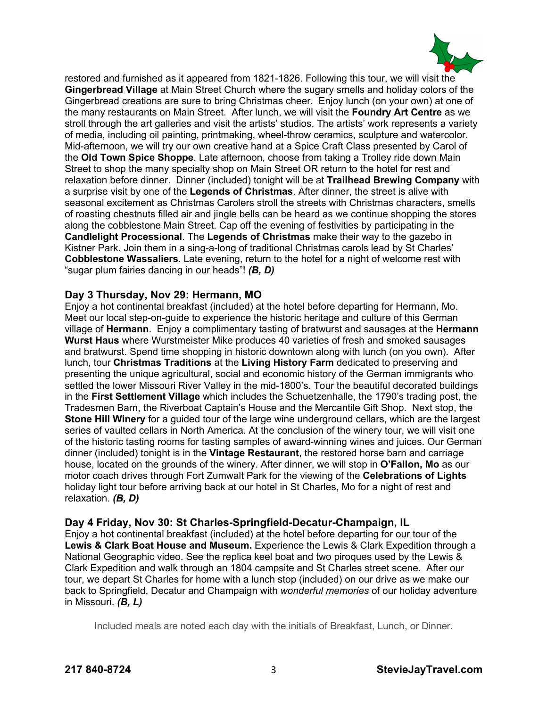

restored and furnished as it appeared from 1821-1826. Following this tour, we will visit the **Gingerbread Village** at Main Street Church where the sugary smells and holiday colors of the Gingerbread creations are sure to bring Christmas cheer. Enjoy lunch (on your own) at one of the many restaurants on Main Street. After lunch, we will visit the **Foundry Art Centre** as we stroll through the art galleries and visit the artists' studios. The artists' work represents a variety of media, including oil painting, printmaking, wheel-throw ceramics, sculpture and watercolor. Mid-afternoon, we will try our own creative hand at a Spice Craft Class presented by Carol of the **Old Town Spice Shoppe**. Late afternoon, choose from taking a Trolley ride down Main Street to shop the many specialty shop on Main Street OR return to the hotel for rest and relaxation before dinner. Dinner (included) tonight will be at **Trailhead Brewing Company** with a surprise visit by one of the **Legends of Christmas**. After dinner, the street is alive with seasonal excitement as Christmas Carolers stroll the streets with Christmas characters, smells of roasting chestnuts filled air and jingle bells can be heard as we continue shopping the stores along the cobblestone Main Street. Cap off the evening of festivities by participating in the **Candlelight Processional**. The **Legends of Christmas** make their way to the gazebo in Kistner Park. Join them in a sing-a-long of traditional Christmas carols lead by St Charles' **Cobblestone Wassaliers**. Late evening, return to the hotel for a night of welcome rest with "sugar plum fairies dancing in our heads"! *(B, D)*

#### **Day 3 Thursday, Nov 29: Hermann, MO**

Enjoy a hot continental breakfast (included) at the hotel before departing for Hermann, Mo. Meet our local step-on-guide to experience the historic heritage and culture of this German village of **Hermann**. Enjoy a complimentary tasting of bratwurst and sausages at the **Hermann Wurst Haus** where Wurstmeister Mike produces 40 varieties of fresh and smoked sausages and bratwurst. Spend time shopping in historic downtown along with lunch (on you own). After lunch, tour **Christmas Traditions** at the **Living History Farm** dedicated to preserving and presenting the unique agricultural, social and economic history of the German immigrants who settled the lower Missouri River Valley in the mid-1800's. Tour the beautiful decorated buildings in the **First Settlement Village** which includes the Schuetzenhalle, the 1790's trading post, the Tradesmen Barn, the Riverboat Captain's House and the Mercantile Gift Shop. Next stop, the **Stone Hill Winery** for a guided tour of the large wine underground cellars, which are the largest series of vaulted cellars in North America. At the conclusion of the winery tour, we will visit one of the historic tasting rooms for tasting samples of award-winning wines and juices. Our German dinner (included) tonight is in the **Vintage Restaurant**, the restored horse barn and carriage house, located on the grounds of the winery. After dinner, we will stop in **O'Fallon, Mo** as our motor coach drives through Fort Zumwalt Park for the viewing of the **Celebrations of Lights** holiday light tour before arriving back at our hotel in St Charles, Mo for a night of rest and relaxation. *(B, D)*

#### **Day 4 Friday, Nov 30: St Charles-Springfield-Decatur-Champaign, IL**

Enjoy a hot continental breakfast (included) at the hotel before departing for our tour of the **Lewis & Clark Boat House and Museum.** Experience the Lewis & Clark Expedition through a National Geographic video. See the replica keel boat and two piroques used by the Lewis & Clark Expedition and walk through an 1804 campsite and St Charles street scene. After our tour, we depart St Charles for home with a lunch stop (included) on our drive as we make our back to Springfield, Decatur and Champaign with *wonderful memories* of our holiday adventure in Missouri. *(B, L)*

Included meals are noted each day with the initials of Breakfast, Lunch, or Dinner.